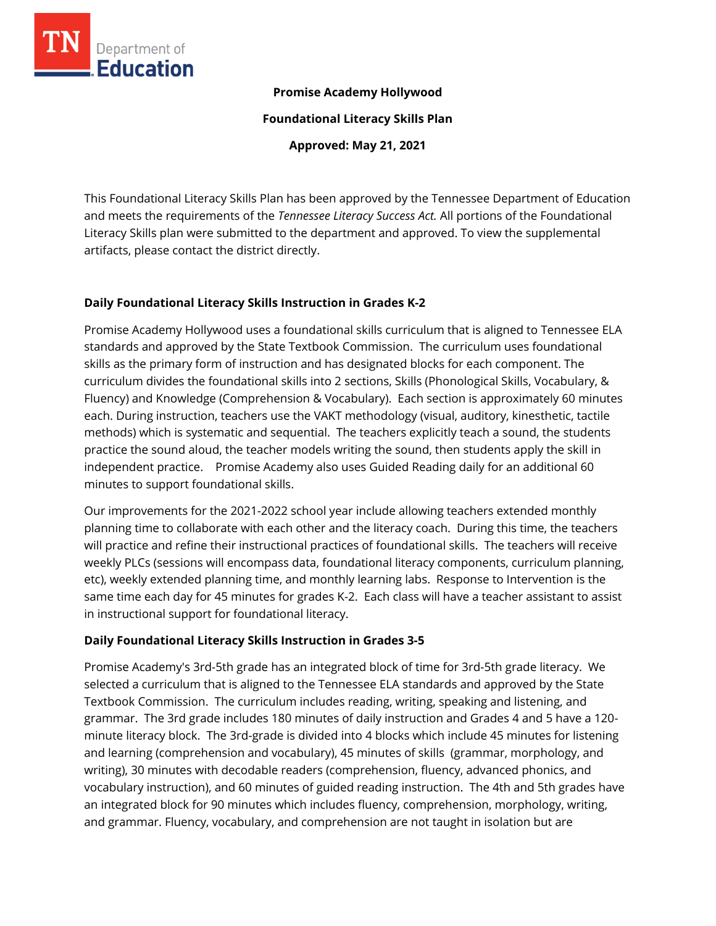

#### **Promise Academy Hollywood**

**Foundational Literacy Skills Plan**

**Approved: May 21, 2021**

This Foundational Literacy Skills Plan has been approved by the Tennessee Department of Education and meets the requirements of the *Tennessee Literacy Success Act.* All portions of the Foundational Literacy Skills plan were submitted to the department and approved. To view the supplemental artifacts, please contact the district directly.

#### **Daily Foundational Literacy Skills Instruction in Grades K-2**

Promise Academy Hollywood uses a foundational skills curriculum that is aligned to Tennessee ELA standards and approved by the State Textbook Commission. The curriculum uses foundational skills as the primary form of instruction and has designated blocks for each component. The curriculum divides the foundational skills into 2 sections, Skills (Phonological Skills, Vocabulary, & Fluency) and Knowledge (Comprehension & Vocabulary). Each section is approximately 60 minutes each. During instruction, teachers use the VAKT methodology (visual, auditory, kinesthetic, tactile methods) which is systematic and sequential. The teachers explicitly teach a sound, the students practice the sound aloud, the teacher models writing the sound, then students apply the skill in independent practice. Promise Academy also uses Guided Reading daily for an additional 60 minutes to support foundational skills.

Our improvements for the 2021-2022 school year include allowing teachers extended monthly planning time to collaborate with each other and the literacy coach. During this time, the teachers will practice and refine their instructional practices of foundational skills. The teachers will receive weekly PLCs (sessions will encompass data, foundational literacy components, curriculum planning, etc), weekly extended planning time, and monthly learning labs. Response to Intervention is the same time each day for 45 minutes for grades K-2. Each class will have a teacher assistant to assist in instructional support for foundational literacy.

## **Daily Foundational Literacy Skills Instruction in Grades 3-5**

Promise Academy's 3rd-5th grade has an integrated block of time for 3rd-5th grade literacy. We selected a curriculum that is aligned to the Tennessee ELA standards and approved by the State Textbook Commission. The curriculum includes reading, writing, speaking and listening, and grammar. The 3rd grade includes 180 minutes of daily instruction and Grades 4 and 5 have a 120 minute literacy block. The 3rd-grade is divided into 4 blocks which include 45 minutes for listening and learning (comprehension and vocabulary), 45 minutes of skills (grammar, morphology, and writing), 30 minutes with decodable readers (comprehension, fluency, advanced phonics, and vocabulary instruction), and 60 minutes of guided reading instruction. The 4th and 5th grades have an integrated block for 90 minutes which includes fluency, comprehension, morphology, writing, and grammar. Fluency, vocabulary, and comprehension are not taught in isolation but are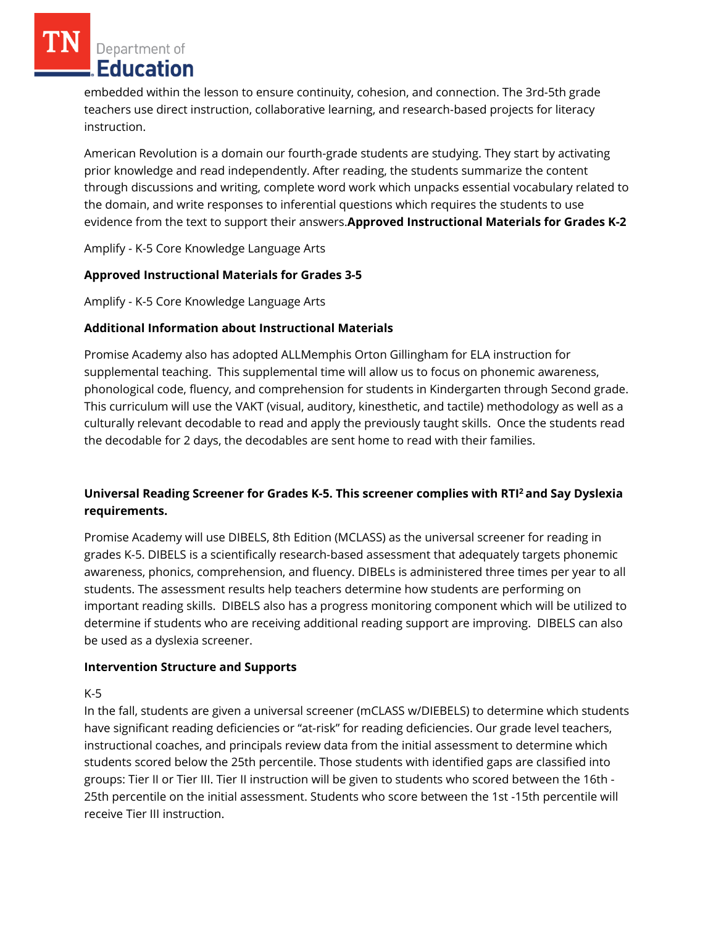Department of Education

embedded within the lesson to ensure continuity, cohesion, and connection. The 3rd-5th grade teachers use direct instruction, collaborative learning, and research-based projects for literacy instruction.

American Revolution is a domain our fourth-grade students are studying. They start by activating prior knowledge and read independently. After reading, the students summarize the content through discussions and writing, complete word work which unpacks essential vocabulary related to the domain, and write responses to inferential questions which requires the students to use evidence from the text to support their answers.**Approved Instructional Materials for Grades K-2**

Amplify - K-5 Core Knowledge Language Arts

#### **Approved Instructional Materials for Grades 3-5**

Amplify - K-5 Core Knowledge Language Arts

## **Additional Information about Instructional Materials**

Promise Academy also has adopted ALLMemphis Orton Gillingham for ELA instruction for supplemental teaching. This supplemental time will allow us to focus on phonemic awareness, phonological code, fluency, and comprehension for students in Kindergarten through Second grade. This curriculum will use the VAKT (visual, auditory, kinesthetic, and tactile) methodology as well as a culturally relevant decodable to read and apply the previously taught skills. Once the students read the decodable for 2 days, the decodables are sent home to read with their families.

# **Universal Reading Screener for Grades K-5. This screener complies with RTI<sup>2</sup>and Say Dyslexia requirements.**

Promise Academy will use DIBELS, 8th Edition (MCLASS) as the universal screener for reading in grades K-5. DIBELS is a scientifically research-based assessment that adequately targets phonemic awareness, phonics, comprehension, and fluency. DIBELs is administered three times per year to all students. The assessment results help teachers determine how students are performing on important reading skills. DIBELS also has a progress monitoring component which will be utilized to determine if students who are receiving additional reading support are improving. DIBELS can also be used as a dyslexia screener.

#### **Intervention Structure and Supports**

K-5

In the fall, students are given a universal screener (mCLASS w/DIEBELS) to determine which students have significant reading deficiencies or "at-risk" for reading deficiencies. Our grade level teachers, instructional coaches, and principals review data from the initial assessment to determine which students scored below the 25th percentile. Those students with identified gaps are classified into groups: Tier II or Tier III. Tier II instruction will be given to students who scored between the 16th - 25th percentile on the initial assessment. Students who score between the 1st -15th percentile will receive Tier III instruction.